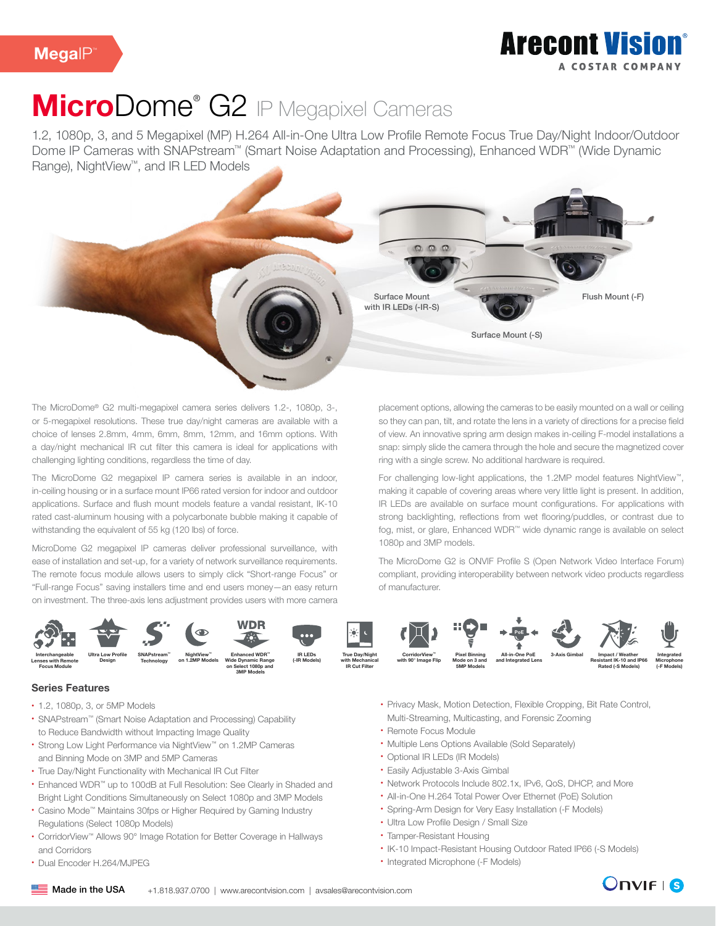# MicroDome<sup>®</sup> G2 IP Megapixel Cameras

1.2, 1080p, 3, and 5 Megapixel (MP) H.264 All-in-One Ultra Low Profile Remote Focus True Day/Night Indoor/Outdoor Dome IP Cameras with SNAPstream™ (Smart Noise Adaptation and Processing), Enhanced WDR™ (Wide Dynamic Range), NightView™, and IR LED Models



The MicroDome® G2 multi-megapixel camera series delivers 1.2-, 1080p, 3-, or 5-megapixel resolutions. These true day/night cameras are available with a choice of lenses 2.8mm, 4mm, 6mm, 8mm, 12mm, and 16mm options. With a day/night mechanical IR cut filter this camera is ideal for applications with challenging lighting conditions, regardless the time of day.

The MicroDome G2 megapixel IP camera series is available in an indoor, in-ceiling housing or in a surface mount IP66 rated version for indoor and outdoor applications. Surface and flush mount models feature a vandal resistant, IK-10 rated cast-aluminum housing with a polycarbonate bubble making it capable of withstanding the equivalent of 55 kg (120 lbs) of force.

MicroDome G2 megapixel IP cameras deliver professional surveillance, with ease of installation and set-up, for a variety of network surveillance requirements. The remote focus module allows users to simply click "Short-range Focus" or "Full-range Focus" saving installers time and end users money—an easy return on investment. The three-axis lens adjustment provides users with more camera

placement options, allowing the cameras to be easily mounted on a wall or ceiling so they can pan, tilt, and rotate the lens in a variety of directions for a precise field of view. An innovative spring arm design makes in-ceiling F-model installations a snap: simply slide the camera through the hole and secure the magnetized cover ring with a single screw. No additional hardware is required.

For challenging low-light applications, the 1.2MP model features NightView™, making it capable of covering areas where very little light is present. In addition, IR LEDs are available on surface mount configurations. For applications with strong backlighting, reflections from wet flooring/puddles, or contrast due to fog, mist, or glare, Enhanced WDR™ wide dynamic range is available on select 1080p and 3MP models.

The MicroDome G2 is ONVIF Profile S (Open Network Video Interface Forum) compliant, providing interoperability between network video products regardless of manufacturer.



### Series Features

- 1.2, 1080p, 3, or 5MP Models
- SNAPstream™ (Smart Noise Adaptation and Processing) Capability to Reduce Bandwidth without Impacting Image Quality
- Strong Low Light Performance via NightView™ on 1.2MP Cameras and Binning Mode on 3MP and 5MP Cameras
- True Day/Night Functionality with Mechanical IR Cut Filter
- Enhanced WDR™ up to 100dB at Full Resolution: See Clearly in Shaded and Bright Light Conditions Simultaneously on Select 1080p and 3MP Models
- Casino Mode™ Maintains 30fps or Higher Required by Gaming Industry Regulations (Select 1080p Models)
- CorridorView™ Allows 90° Image Rotation for Better Coverage in Hallways and Corridors
- Dual Encoder H.264/MJPEG
- Privacy Mask, Motion Detection, Flexible Cropping, Bit Rate Control, Multi-Streaming, Multicasting, and Forensic Zooming
- Remote Focus Module
- Multiple Lens Options Available (Sold Separately)
- Optional IR LEDs (IR Models)
- Easily Adjustable 3-Axis Gimbal
- Network Protocols Include 802.1x, IPv6, QoS, DHCP, and More
- All-in-One H.264 Total Power Over Ethernet (PoE) Solution
- Spring-Arm Design for Very Easy Installation (-F Models)
- Ultra Low Profile Design / Small Size
- Tamper-Resistant Housing
- IK-10 Impact-Resistant Housing Outdoor Rated IP66 (-S Models)
- Integrated Microphone (-F Models)

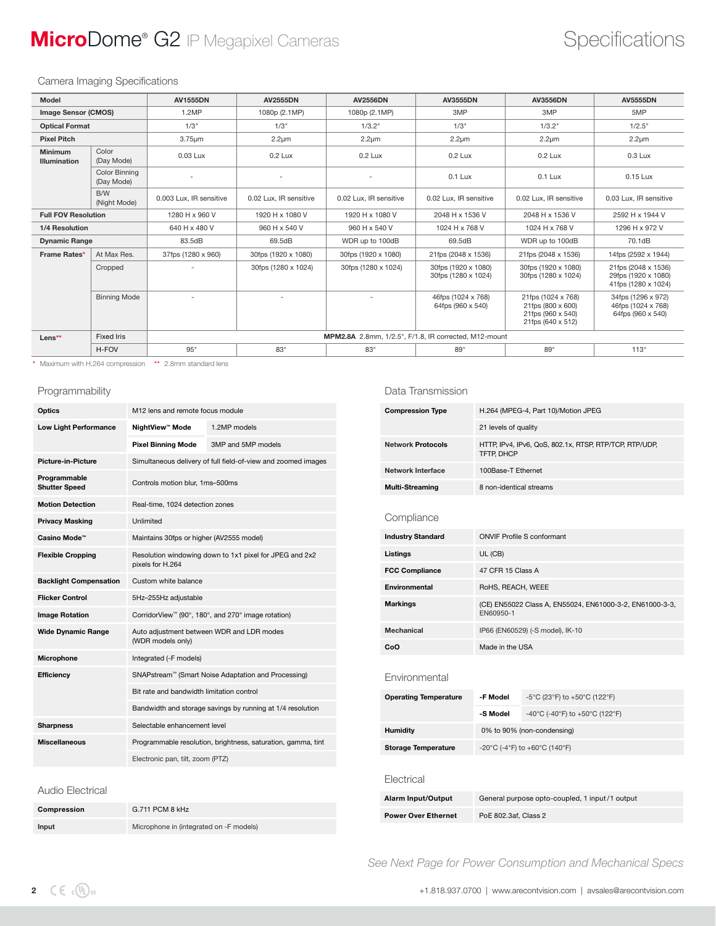## **MicroDome®** G2 IP Megapixel Cameras **Specifications** Specifications

#### Camera Imaging Specifications

| Model                          |                             | <b>AV1555DN</b>                                       | <b>AV2555DN</b>          | <b>AV2556DN</b>        | <b>AV3555DN</b>                                  | <b>AV3556DN</b>                                                                   | <b>AV5555DN</b>                                                    |
|--------------------------------|-----------------------------|-------------------------------------------------------|--------------------------|------------------------|--------------------------------------------------|-----------------------------------------------------------------------------------|--------------------------------------------------------------------|
| <b>Image Sensor (CMOS)</b>     |                             | 1.2MP                                                 | 1080p (2.1MP)            | 1080p (2.1MP)          | 3MP                                              | 3MP                                                                               | 5MP                                                                |
| <b>Optical Format</b>          |                             | 1/3"                                                  | 1/3"                     | 1/3.2"                 | 1/3"                                             | 1/3.2"                                                                            | 1/2.5"                                                             |
| <b>Pixel Pitch</b>             |                             | $3.75 \mu m$                                          | $2.2 \mu m$              | $2.2 \mu m$            | $2.2 \mu m$                                      | $2.2 \mu m$                                                                       | $2.2 \mu m$                                                        |
| <b>Minimum</b><br>Illumination | Color<br>(Day Mode)         | 0.03 Lux                                              | 0.2 Lux                  | 0.2 Lux                | 0.2 Lux                                          | 0.2 Lux                                                                           |                                                                    |
|                                | Color Binning<br>(Day Mode) |                                                       |                          |                        | $0.1$ Lux                                        | $0.1$ Lux                                                                         | 0.15 Lux                                                           |
|                                | B/W<br>(Night Mode)         | 0.003 Lux. IR sensitive                               | 0.02 Lux. IR sensitive   | 0.02 Lux. IR sensitive | 0.02 Lux. IR sensitive<br>0.02 Lux. IR sensitive |                                                                                   | 0.03 Lux. IR sensitive                                             |
| <b>Full FOV Resolution</b>     |                             | 1280 H x 960 V                                        | 1920 H x 1080 V          | 1920 H x 1080 V        | 2048 H x 1536 V<br>2048 H x 1536 V               |                                                                                   | 2592 H x 1944 V                                                    |
| 1/4 Resolution                 |                             | 640 H x 480 V                                         | 960 H x 540 V            | 960 H x 540 V          | 1024 H x 768 V                                   | 1024 H x 768 V                                                                    | 1296 H x 972 V                                                     |
| <b>Dynamic Range</b>           |                             | 83.5dB                                                | 69.5dB                   | WDR up to 100dB        | 69.5dB                                           | WDR up to 100dB                                                                   | 70.1dB                                                             |
| Frame Rates*<br>At Max Res.    |                             | 37fps (1280 x 960)                                    | 30fps (1920 x 1080)      | 30fps (1920 x 1080)    | 21fps (2048 x 1536)                              | 21fps (2048 x 1536)                                                               | 14fps (2592 x 1944)                                                |
|                                | Cropped                     | $\overline{\phantom{a}}$                              | 30fps (1280 x 1024)      | 30fps (1280 x 1024)    | 30fps (1920 x 1080)<br>30fps (1280 x 1024)       | 30fps (1920 x 1080)<br>30fps (1280 x 1024)                                        | 21 fps (2048 x 1536)<br>29fps (1920 x 1080)<br>41fps (1280 x 1024) |
|                                | <b>Binning Mode</b>         | $\overline{a}$                                        | $\overline{\phantom{a}}$ |                        | 46fps (1024 x 768)<br>64fps (960 x 540)          | 21fps (1024 x 768)<br>21fps (800 x 600)<br>21fps (960 x 540)<br>21fps (640 x 512) | 34fps (1296 x 972)<br>46fps (1024 x 768)<br>64fps (960 x 540)      |
| Lens**                         | <b>Fixed Iris</b>           | MPM2.8A 2.8mm, 1/2.5", F/1.8, IR corrected, M12-mount |                          |                        |                                                  |                                                                                   |                                                                    |
|                                | H-FOV                       | $95^\circ$                                            | $83^\circ$               | $83^\circ$             | $89^\circ$                                       | $89^\circ$                                                                        | $113^\circ$                                                        |

\* Maximum with H.264 compression \*\* 2.8mm standard lens

#### Programmability

| Optics                               | M12 lens and remote focus module                                            |                                                              |  |  |  |
|--------------------------------------|-----------------------------------------------------------------------------|--------------------------------------------------------------|--|--|--|
| <b>Low Light Performance</b>         | NightView™ Mode                                                             | 1.2MP models                                                 |  |  |  |
|                                      | <b>Pixel Binning Mode</b>                                                   | 3MP and 5MP models                                           |  |  |  |
| <b>Picture-in-Picture</b>            | Simultaneous delivery of full field-of-view and zoomed images               |                                                              |  |  |  |
| Programmable<br><b>Shutter Speed</b> | Controls motion blur, 1ms-500ms                                             |                                                              |  |  |  |
| <b>Motion Detection</b>              | Real-time, 1024 detection zones                                             |                                                              |  |  |  |
| <b>Privacy Masking</b>               | Unlimited                                                                   |                                                              |  |  |  |
| Casino Mode™                         | Maintains 30fps or higher (AV2555 model)                                    |                                                              |  |  |  |
| <b>Flexible Cropping</b>             | Resolution windowing down to 1x1 pixel for JPEG and 2x2<br>pixels for H.264 |                                                              |  |  |  |
| <b>Backlight Compensation</b>        | Custom white balance                                                        |                                                              |  |  |  |
| <b>Flicker Control</b>               | 5Hz-255Hz adjustable                                                        |                                                              |  |  |  |
| <b>Image Rotation</b>                | CorridorView <sup>™</sup> (90°, 180°, and 270° image rotation)              |                                                              |  |  |  |
| <b>Wide Dynamic Range</b>            | Auto adjustment between WDR and LDR modes<br>(WDR models only)              |                                                              |  |  |  |
| Microphone                           | Integrated (-F models)                                                      |                                                              |  |  |  |
| Efficiency                           | SNAPstream™ (Smart Noise Adaptation and Processing)                         |                                                              |  |  |  |
|                                      | Bit rate and bandwidth limitation control                                   |                                                              |  |  |  |
|                                      | Bandwidth and storage savings by running at 1/4 resolution                  |                                                              |  |  |  |
| <b>Sharpness</b>                     | Selectable enhancement level                                                |                                                              |  |  |  |
| <b>Miscellaneous</b>                 |                                                                             | Programmable resolution, brightness, saturation, gamma, tint |  |  |  |
|                                      | Electronic pan, tilt, zoom (PTZ)                                            |                                                              |  |  |  |

#### Data Transmission

| <b>Compression Type</b>      | H.264 (MPEG-4, Part 10)/Motion JPEG                                   |                                   |  |  |  |
|------------------------------|-----------------------------------------------------------------------|-----------------------------------|--|--|--|
|                              | 21 levels of quality                                                  |                                   |  |  |  |
| <b>Network Protocols</b>     | HTTP, IPv4, IPv6, QoS, 802.1x, RTSP, RTP/TCP, RTP/UDP,<br>TFTP. DHCP  |                                   |  |  |  |
| <b>Network Interface</b>     | 100Base-T Ethernet                                                    |                                   |  |  |  |
| <b>Multi-Streaming</b>       | 8 non-identical streams                                               |                                   |  |  |  |
| Compliance                   |                                                                       |                                   |  |  |  |
| <b>Industry Standard</b>     |                                                                       | <b>ONVIF Profile S conformant</b> |  |  |  |
| Listings                     | UL (CB)                                                               |                                   |  |  |  |
| <b>FCC Compliance</b>        | 47 CFR 15 Class A                                                     |                                   |  |  |  |
| Environmental                | RoHS, REACH, WEEE                                                     |                                   |  |  |  |
| <b>Markings</b>              | (CE) EN55022 Class A, EN55024, EN61000-3-2, EN61000-3-3,<br>EN60950-1 |                                   |  |  |  |
| Mechanical                   | IP66 (EN60529) (-S model), IK-10                                      |                                   |  |  |  |
| CoO                          | Made in the USA                                                       |                                   |  |  |  |
| Fnvironmental                |                                                                       |                                   |  |  |  |
| <b>Operating Temperature</b> | -F Model                                                              | -5°C (23°F) to +50°C (122°F)      |  |  |  |
|                              | -S Model                                                              | -40°C (-40°F) to +50°C (122°F)    |  |  |  |
| <b>Humidity</b>              | 0% to 90% (non-condensing)                                            |                                   |  |  |  |
| <b>Storage Temperature</b>   | -20°C (-4°F) to +60°C (140°F)                                         |                                   |  |  |  |
| Electrical                   |                                                                       |                                   |  |  |  |
| Alarm Input/Output           | General purpose opto-coupled, 1 input/1 output                        |                                   |  |  |  |
| <b>Power Over Ethernet</b>   | PoE 802.3af, Class 2                                                  |                                   |  |  |  |
|                              |                                                                       |                                   |  |  |  |

 *See Next Page for Power Consumption and Mechanical Specs*

Audio Electrical

Compression G.711 PCM 8 kHz

Input Microphone in (integrated on -F models)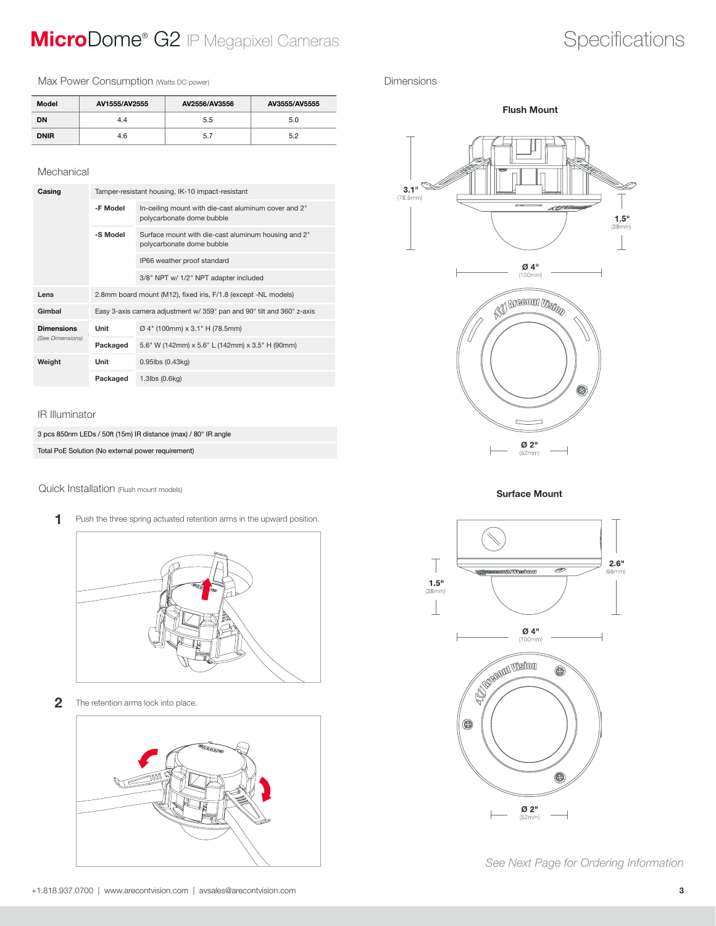## **MicroDome®** G2 IP Megapixel Cameras **Specifications** Specifications

Max Power Consumption (Watts DC power)

| Model       | AV1555/AV2555 | AV2556/AV3556 | AV3555/AV5555 |
|-------------|---------------|---------------|---------------|
| DN          | 4.4           | 5.5           | 5.0           |
| <b>DNIR</b> | 4.6           | 5.7           | 5.2           |

#### Mechanical

| Casing            | Tamper-resistant housing, IK-10 impact-resistant                       |                                                                                   |  |  |  |
|-------------------|------------------------------------------------------------------------|-----------------------------------------------------------------------------------|--|--|--|
|                   | -F Model                                                               | In-ceiling mount with die-cast aluminum cover and 2"<br>polycarbonate dome bubble |  |  |  |
|                   | -S Model                                                               | Surface mount with die-cast aluminum housing and 2"<br>polycarbonate dome bubble  |  |  |  |
|                   |                                                                        | IP66 weather proof standard                                                       |  |  |  |
|                   |                                                                        | 3/8" NPT w/ 1/2" NPT adapter included                                             |  |  |  |
| Lens              |                                                                        | 2.8mm board mount (M12), fixed iris, F/1.8 (except -NL models)                    |  |  |  |
| Gimbal            | Easy 3-axis camera adjustment w/ 359° pan and 90° tilt and 360° z-axis |                                                                                   |  |  |  |
| <b>Dimensions</b> | Unit                                                                   | Ø 4" (100mm) x 3.1" H (78.5mm)                                                    |  |  |  |
| (See Dimensions)  | Packaged                                                               | 5.6" W (142mm) x 5.6" L (142mm) x 3.5" H (90mm)                                   |  |  |  |
| Weight            | Unit                                                                   | $0.95$ lbs $(0.43$ kg)                                                            |  |  |  |
|                   | Packaged                                                               | 1.3lbs (0.6kg)                                                                    |  |  |  |

#### IR Illuminator

1

3 pcs 850nm LEDs / 50ft (15m) IR distance (max) / 80° IR angle Total PoE Solution (No external power requirement)

Quick Installation (Flush mount models) **Surface Mount** 

Push the three spring actuated retention arms in the upward position.

2 The retention arms lock into place.



### Dimensions



Flush Mount





 *See Next Page for Ordering Information*